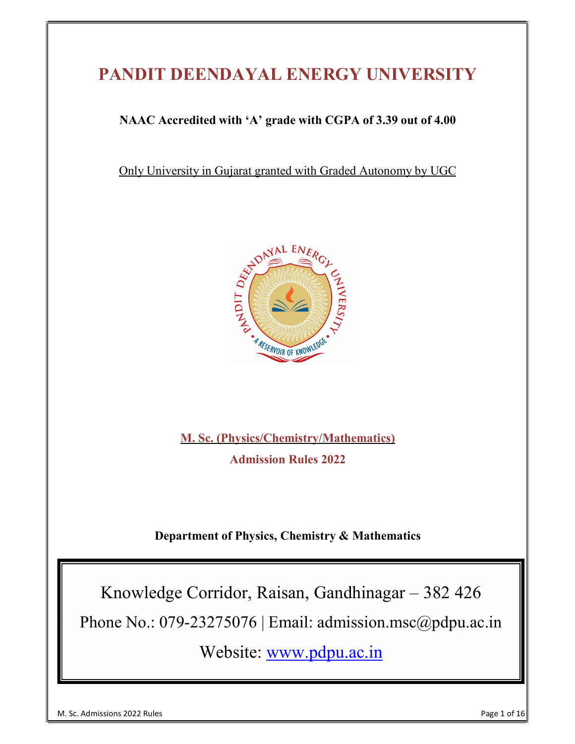# PANDIT DEENDAYAL ENERGY UNIVERSITY

### NAAC Accredited with 'A' grade with CGPA of 3.39 out of 4.00

Only University in Gujarat granted with Graded Autonomy by UGC



M. Sc. (Physics/Chemistry/Mathematics)

Admission Rules 2022

Department of Physics, Chemistry & Mathematics

Knowledge Corridor, Raisan, Gandhinagar – 382 426

Phone No.: 079-23275076 | Email: admission.msc@pdpu.ac.in

Website: www.pdpu.ac.in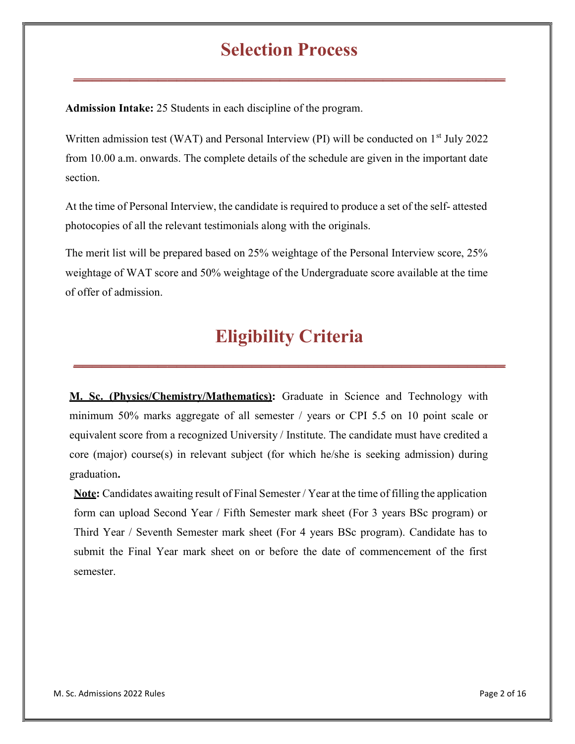## Selection Process

\_\_\_\_\_\_\_\_\_\_\_\_\_\_\_\_\_\_\_\_\_\_\_\_\_\_\_\_\_\_\_\_\_\_\_\_\_\_\_\_\_\_\_\_\_\_

Admission Intake: 25 Students in each discipline of the program.

Written admission test (WAT) and Personal Interview (PI) will be conducted on  $1<sup>st</sup>$  July 2022 from 10.00 a.m. onwards. The complete details of the schedule are given in the important date section.

At the time of Personal Interview, the candidate is required to produce a set of the self- attested photocopies of all the relevant testimonials along with the originals.

The merit list will be prepared based on 25% weightage of the Personal Interview score, 25% weightage of WAT score and 50% weightage of the Undergraduate score available at the time of offer of admission.

## Eligibility Criteria

\_\_\_\_\_\_\_\_\_\_\_\_\_\_\_\_\_\_\_\_\_\_\_\_\_\_\_\_\_\_\_\_\_\_\_\_\_\_\_\_\_\_\_\_\_\_

M. Sc. (Physics/Chemistry/Mathematics): Graduate in Science and Technology with minimum 50% marks aggregate of all semester / years or CPI 5.5 on 10 point scale or equivalent score from a recognized University / Institute. The candidate must have credited a core (major) course(s) in relevant subject (for which he/she is seeking admission) during graduation.

Note: Candidates awaiting result of Final Semester / Year at the time of filling the application form can upload Second Year / Fifth Semester mark sheet (For 3 years BSc program) or Third Year / Seventh Semester mark sheet (For 4 years BSc program). Candidate has to submit the Final Year mark sheet on or before the date of commencement of the first semester.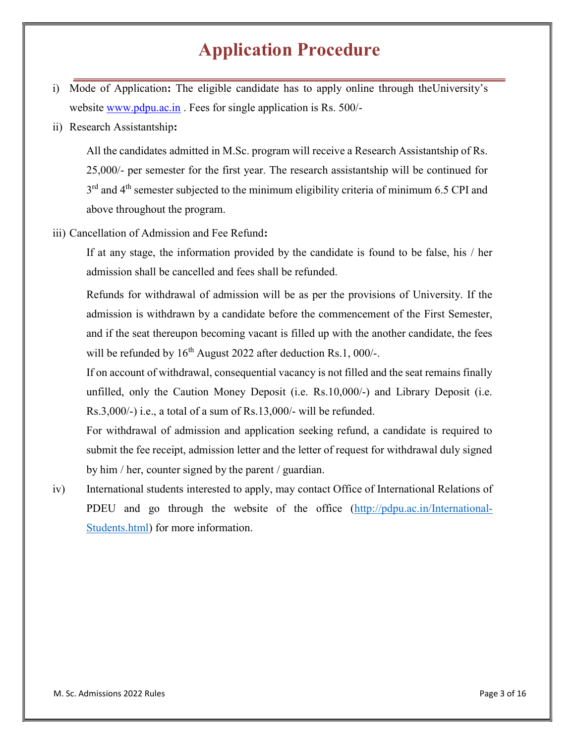## Application Procedure

\_\_\_\_\_\_\_\_\_\_\_\_\_\_\_\_\_\_\_\_\_\_\_\_\_\_\_\_\_\_\_\_\_\_\_\_\_\_\_\_\_\_\_\_\_\_

- i) Mode of Application: The eligible candidate has to apply online through the University's website www.pdpu.ac.in . Fees for single application is Rs. 500/-
- ii) Research Assistantship:

All the candidates admitted in M.Sc. program will receive a Research Assistantship of Rs. 25,000/- per semester for the first year. The research assistantship will be continued for 3<sup>rd</sup> and 4<sup>th</sup> semester subjected to the minimum eligibility criteria of minimum 6.5 CPI and above throughout the program.

iii) Cancellation of Admission and Fee Refund:

If at any stage, the information provided by the candidate is found to be false, his / her admission shall be cancelled and fees shall be refunded.

Refunds for withdrawal of admission will be as per the provisions of University. If the admission is withdrawn by a candidate before the commencement of the First Semester, and if the seat thereupon becoming vacant is filled up with the another candidate, the fees will be refunded by  $16<sup>th</sup>$  August 2022 after deduction Rs.1, 000/-.

If on account of withdrawal, consequential vacancy is not filled and the seat remains finally unfilled, only the Caution Money Deposit (i.e. Rs.10,000/-) and Library Deposit (i.e. Rs.3,000/-) i.e., a total of a sum of Rs.13,000/- will be refunded.

For withdrawal of admission and application seeking refund, a candidate is required to submit the fee receipt, admission letter and the letter of request for withdrawal duly signed by him / her, counter signed by the parent / guardian.

iv) International students interested to apply, may contact Office of International Relations of PDEU and go through the website of the office (http://pdpu.ac.in/International-Students.html) for more information.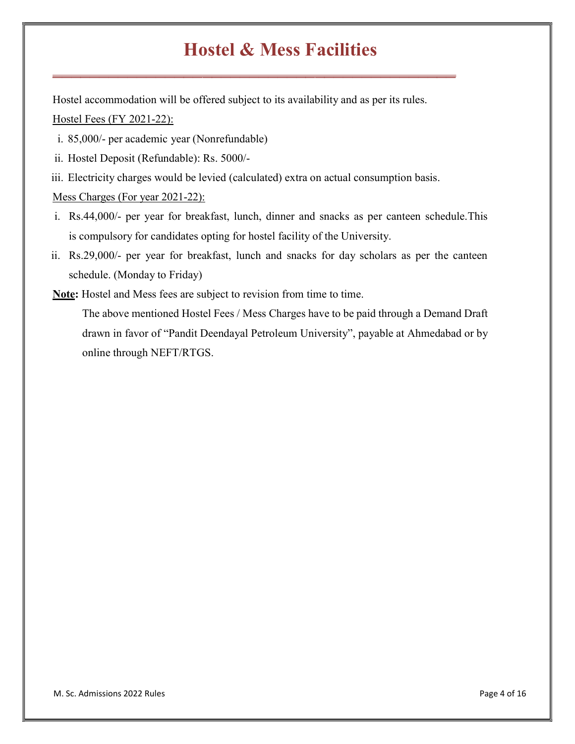## $\frac{1}{2}$  , and the set of the set of the set of the set of the set of the set of the set of the set of the set of the set of the set of the set of the set of the set of the set of the set of the set of the set of the set Hostel & Mess Facilities

Hostel accommodation will be offered subject to its availability and as per its rules.

Hostel Fees (FY 2021-22):

- i. 85,000/- per academic year (Nonrefundable)
- ii. Hostel Deposit (Refundable): Rs. 5000/-
- iii. Electricity charges would be levied (calculated) extra on actual consumption basis.

#### Mess Charges (For year 2021-22):

- i. Rs.44,000/- per year for breakfast, lunch, dinner and snacks as per canteen schedule. This is compulsory for candidates opting for hostel facility of the University.
- ii. Rs.29,000/- per year for breakfast, lunch and snacks for day scholars as per the canteen schedule. (Monday to Friday)
- Note: Hostel and Mess fees are subject to revision from time to time.

The above mentioned Hostel Fees / Mess Charges have to be paid through a Demand Draft drawn in favor of "Pandit Deendayal Petroleum University", payable at Ahmedabad or by online through NEFT/RTGS.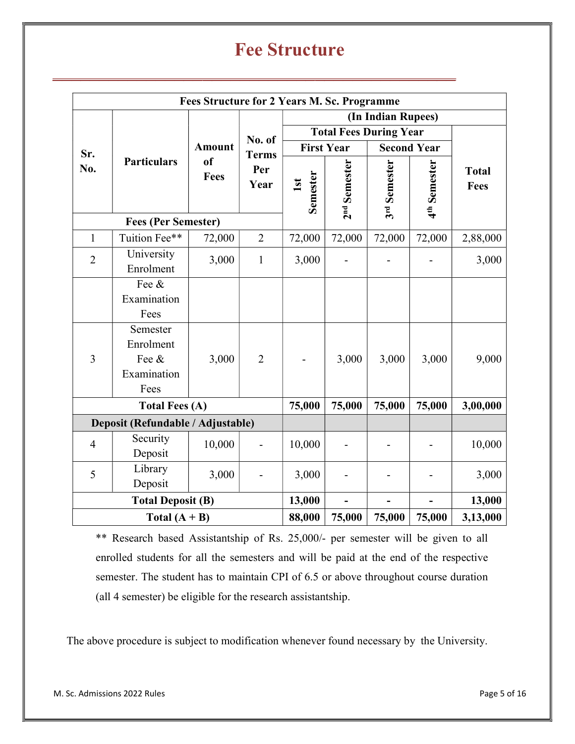## Fee Structure

\_\_\_\_\_\_\_\_\_\_\_\_\_\_\_\_\_\_\_\_\_\_\_\_\_\_\_\_\_\_\_\_\_\_\_\_\_\_\_\_\_\_\_

|                            |                                   | <b>Fees Structure for 2 Years M. Sc. Programme</b> |                                       |                               |                          |                    |                          |                      |
|----------------------------|-----------------------------------|----------------------------------------------------|---------------------------------------|-------------------------------|--------------------------|--------------------|--------------------------|----------------------|
|                            | <b>Particulars</b>                | <b>Amount</b><br><sub>of</sub><br><b>Fees</b>      | No. of<br><b>Terms</b><br>Per<br>Year | (In Indian Rupees)            |                          |                    |                          |                      |
| Sr.<br>No.                 |                                   |                                                    |                                       | <b>Total Fees During Year</b> |                          |                    |                          |                      |
|                            |                                   |                                                    |                                       | <b>First Year</b>             |                          | <b>Second Year</b> |                          |                      |
|                            |                                   |                                                    |                                       | <b>Semester</b><br>1st        | 2 <sup>nd</sup> Semester | 3rd Semester       | 4 <sup>th</sup> Semester | <b>Total</b><br>Fees |
| <b>Fees (Per Semester)</b> |                                   |                                                    |                                       |                               |                          |                    |                          |                      |
| $\mathbf{1}$               | Tuition Fee**                     | 72,000                                             | $\overline{2}$                        | 72,000                        | 72,000                   | 72,000             | 72,000                   | 2,88,000             |
| $\overline{2}$             | University<br>Enrolment           | 3,000                                              | $\mathbf{1}$                          | 3,000                         |                          |                    |                          | 3,000                |
|                            | Fee &                             |                                                    |                                       |                               |                          |                    |                          |                      |
|                            | Examination<br>Fees               |                                                    |                                       |                               |                          |                    |                          |                      |
|                            | Semester                          |                                                    |                                       |                               |                          |                    |                          |                      |
|                            | Enrolment                         |                                                    |                                       |                               |                          |                    |                          |                      |
| 3                          | Fee &                             | 3,000                                              | $\overline{2}$                        |                               | 3,000                    | 3,000              | 3,000                    | 9,000                |
|                            | Examination                       |                                                    |                                       |                               |                          |                    |                          |                      |
|                            | Fees                              |                                                    |                                       |                               |                          |                    |                          |                      |
| <b>Total Fees (A)</b>      |                                   |                                                    |                                       | 75,000                        | 75,000                   | 75,000             | 75,000                   | 3,00,000             |
|                            | Deposit (Refundable / Adjustable) |                                                    |                                       |                               |                          |                    |                          |                      |
| $\overline{4}$             | Security<br>Deposit               | 10,000                                             |                                       | 10,000                        |                          |                    |                          | 10,000               |
| 5                          | Library<br>Deposit                | 3,000                                              |                                       | 3,000                         |                          |                    |                          | 3,000                |
| <b>Total Deposit (B)</b>   |                                   |                                                    |                                       | 13,000                        | $\overline{\phantom{0}}$ | $\blacksquare$     | $\overline{a}$           | 13,000               |
| Total $(A + B)$            |                                   |                                                    |                                       | 88,000                        | 75,000                   | 75,000             | 75,000                   | 3,13,000             |

\*\* Research based Assistantship of Rs. 25,000/- per semester will be given to all enrolled students for all the semesters and will be paid at the end of the respective semester. The student has to maintain CPI of 6.5 or above throughout course duration (all 4 semester) be eligible for the research assistantship.

The above procedure is subject to modification whenever found necessary by the University.